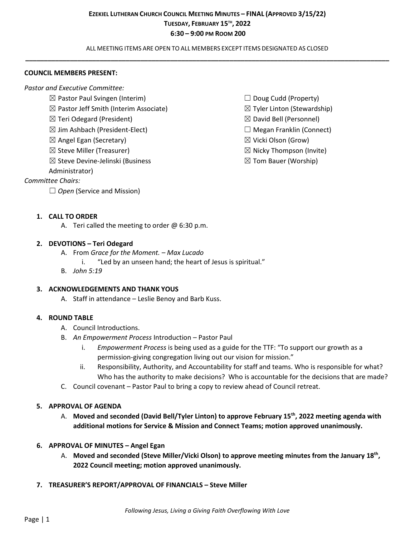ALL MEETING ITEMS ARE OPEN TO ALL MEMBERS EXCEPT ITEMS DESIGNATED AS CLOSED **\_\_\_\_\_\_\_\_\_\_\_\_\_\_\_\_\_\_\_\_\_\_\_\_\_\_\_\_\_\_\_\_\_\_\_\_\_\_\_\_\_\_\_\_\_\_\_\_\_\_\_\_\_\_\_\_\_\_\_\_\_\_\_\_\_\_\_\_\_\_\_\_\_\_\_\_\_\_\_\_\_\_\_\_\_\_\_\_\_\_\_\_\_\_\_\_\_\_**

#### **COUNCIL MEMBERS PRESENT:**

*Pastor and Executive Committee:*

- $\boxtimes$  Pastor Paul Svingen (Interim)
- $\boxtimes$  Pastor Jeff Smith (Interim Associate)
- ☒ Teri Odegard (President)
- $\boxtimes$  Jim Ashbach (President-Elect)
- $\boxtimes$  Angel Egan (Secretary)
- $\boxtimes$  Steve Miller (Treasurer)
- ☒ Steve Devine-Jelinski (Business

Administrator)

## *Committee Chairs:*

□ *Open* (Service and Mission)

- $\Box$  Doug Cudd (Property)
- $\boxtimes$  Tyler Linton (Stewardship)
- ☒ David Bell (Personnel)
- $\Box$  Megan Franklin (Connect)
- ☒ Vicki Olson (Grow)
- $\boxtimes$  Nicky Thompson (Invite)
- $\boxtimes$  Tom Bauer (Worship)

### **1. CALL TO ORDER**

A. Teri called the meeting to order  $\omega$  6:30 p.m.

### **2. DEVOTIONS – Teri Odegard**

- A. From *Grace for the Moment. – Max Lucado*
	- i. "Led by an unseen hand; the heart of Jesus is spiritual."
- B. *John 5:19*

### **3. ACKNOWLEDGEMENTS AND THANK YOUS**

A. Staff in attendance – Leslie Benoy and Barb Kuss.

## **4. ROUND TABLE**

- A. Council Introductions.
- B. *An Empowerment Process* Introduction Pastor Paul
	- i. *Empowerment Process* is being used as a guide for the TTF: "To support our growth as a permission-giving congregation living out our vision for mission."
	- ii. Responsibility, Authority, and Accountability for staff and teams. Who is responsible for what? Who has the authority to make decisions? Who is accountable for the decisions that are made?
- C. Council covenant Pastor Paul to bring a copy to review ahead of Council retreat.

### **5. APPROVAL OF AGENDA**

- A. **Moved and seconded (David Bell/Tyler Linton) to approve February 15th, 2022 meeting agenda with additional motions for Service & Mission and Connect Teams; motion approved unanimously.**
- **6. APPROVAL OF MINUTES – Angel Egan**
	- A. **Moved and seconded (Steve Miller/Vicki Olson) to approve meeting minutes from the January 18th, 2022 Council meeting; motion approved unanimously.**
- **7. TREASURER'S REPORT/APPROVAL OF FINANCIALS – Steve Miller**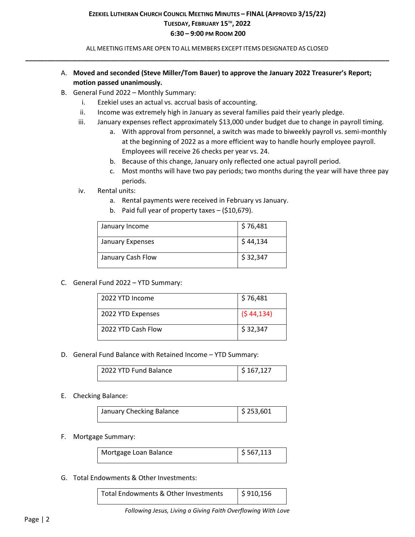ALL MEETING ITEMS ARE OPEN TO ALL MEMBERS EXCEPT ITEMS DESIGNATED AS CLOSED **\_\_\_\_\_\_\_\_\_\_\_\_\_\_\_\_\_\_\_\_\_\_\_\_\_\_\_\_\_\_\_\_\_\_\_\_\_\_\_\_\_\_\_\_\_\_\_\_\_\_\_\_\_\_\_\_\_\_\_\_\_\_\_\_\_\_\_\_\_\_\_\_\_\_\_\_\_\_\_\_\_\_\_\_\_\_\_\_\_\_\_\_\_\_\_\_\_\_**

- A. **Moved and seconded (Steve Miller/Tom Bauer) to approve the January 2022 Treasurer's Report; motion passed unanimously.**
- B. General Fund 2022 Monthly Summary:
	- i. Ezekiel uses an actual vs. accrual basis of accounting.
	- ii. Income was extremely high in January as several families paid their yearly pledge.
	- iii. January expenses reflect approximately \$13,000 under budget due to change in payroll timing.
		- a. With approval from personnel, a switch was made to biweekly payroll vs. semi-monthly at the beginning of 2022 as a more efficient way to handle hourly employee payroll. Employees will receive 26 checks per year vs. 24.
		- b. Because of this change, January only reflected one actual payroll period.
		- c. Most months will have two pay periods; two months during the year will have three pay periods.
	- iv. Rental units:
		- a. Rental payments were received in February vs January.
		- b. Paid full year of property taxes (\$10,679).

| January Income    | \$76,481 |
|-------------------|----------|
| January Expenses  | \$44,134 |
| January Cash Flow | \$32,347 |

C. General Fund 2022 – YTD Summary:

| 2022 YTD Income    | \$76,481   |
|--------------------|------------|
| 2022 YTD Expenses  | (544, 134) |
| 2022 YTD Cash Flow | \$32,347   |

D. General Fund Balance with Retained Income – YTD Summary:

| 2022 YTD Fund Balance | $\frac{1}{2}$ \$ 167,127 |
|-----------------------|--------------------------|
|                       |                          |
|                       |                          |
|                       |                          |

#### E. Checking Balance:

| January Checking Balance | $\frac{1}{2}$ \$ 253,601 |
|--------------------------|--------------------------|
|                          |                          |

#### F. Mortgage Summary:

| Mortgage Loan Balance | $\frac{1}{2}$ \$ 567,113 |
|-----------------------|--------------------------|
|                       |                          |

### G. Total Endowments & Other Investments:

| Total Endowments & Other Investments | \$910,156 |
|--------------------------------------|-----------|
|                                      |           |

*Following Jesus, Living a Giving Faith Overflowing With Love*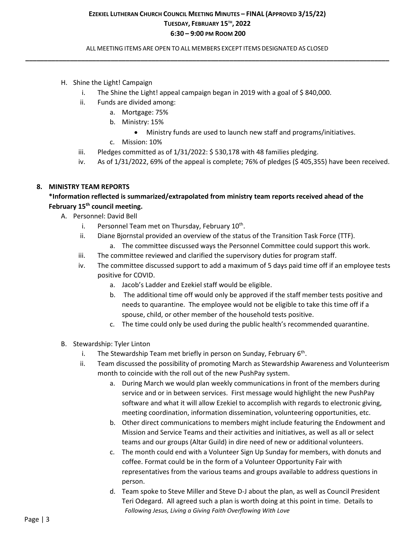ALL MEETING ITEMS ARE OPEN TO ALL MEMBERS EXCEPT ITEMS DESIGNATED AS CLOSED **\_\_\_\_\_\_\_\_\_\_\_\_\_\_\_\_\_\_\_\_\_\_\_\_\_\_\_\_\_\_\_\_\_\_\_\_\_\_\_\_\_\_\_\_\_\_\_\_\_\_\_\_\_\_\_\_\_\_\_\_\_\_\_\_\_\_\_\_\_\_\_\_\_\_\_\_\_\_\_\_\_\_\_\_\_\_\_\_\_\_\_\_\_\_\_\_\_\_**

- H. Shine the Light! Campaign
	- i. The Shine the Light! appeal campaign began in 2019 with a goal of \$840,000.
	- ii. Funds are divided among:
		- a. Mortgage: 75%
		- b. Ministry: 15%
			- Ministry funds are used to launch new staff and programs/initiatives.
		- c. Mission: 10%
	- iii. Pledges committed as of 1/31/2022: \$ 530,178 with 48 families pledging.
	- iv. As of 1/31/2022, 69% of the appeal is complete; 76% of pledges (\$ 405,355) have been received.

### **8. MINISTRY TEAM REPORTS**

# **\*Information reflected is summarized/extrapolated from ministry team reports received ahead of the February 15th council meeting.**

- A. Personnel: David Bell
	- i. Personnel Team met on Thursday, February  $10<sup>th</sup>$ .
	- ii. Diane Bjornstal provided an overview of the status of the Transition Task Force (TTF). a. The committee discussed ways the Personnel Committee could support this work.
	- iii. The committee reviewed and clarified the supervisory duties for program staff.
	- iv. The committee discussed support to add a maximum of 5 days paid time off if an employee tests positive for COVID.
		- a. Jacob's Ladder and Ezekiel staff would be eligible.
		- b. The additional time off would only be approved if the staff member tests positive and needs to quarantine. The employee would not be eligible to take this time off if a spouse, child, or other member of the household tests positive.
		- c. The time could only be used during the public health's recommended quarantine.
- B. Stewardship: Tyler Linton
	- i. The Stewardship Team met briefly in person on Sunday, February  $6<sup>th</sup>$ .
	- ii. Team discussed the possibility of promoting March as Stewardship Awareness and Volunteerism month to coincide with the roll out of the new PushPay system.
		- a. During March we would plan weekly communications in front of the members during service and or in between services. First message would highlight the new PushPay software and what it will allow Ezekiel to accomplish with regards to electronic giving, meeting coordination, information dissemination, volunteering opportunities, etc.
		- b. Other direct communications to members might include featuring the Endowment and Mission and Service Teams and their activities and initiatives, as well as all or select teams and our groups (Altar Guild) in dire need of new or additional volunteers.
		- c. The month could end with a Volunteer Sign Up Sunday for members, with donuts and coffee. Format could be in the form of a Volunteer Opportunity Fair with representatives from the various teams and groups available to address questions in person.
		- *Following Jesus, Living a Giving Faith Overflowing With Love* d. Team spoke to Steve Miller and Steve D-J about the plan, as well as Council President Teri Odegard. All agreed such a plan is worth doing at this point in time. Details to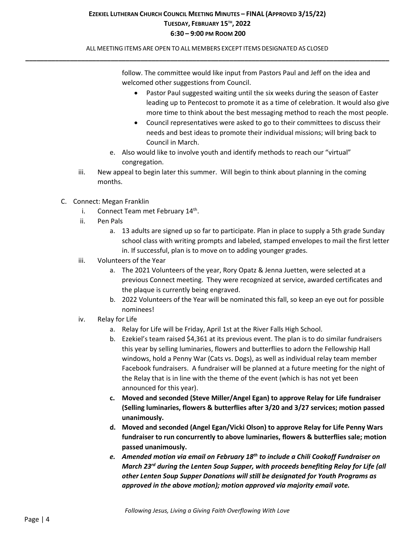ALL MEETING ITEMS ARE OPEN TO ALL MEMBERS EXCEPT ITEMS DESIGNATED AS CLOSED **\_\_\_\_\_\_\_\_\_\_\_\_\_\_\_\_\_\_\_\_\_\_\_\_\_\_\_\_\_\_\_\_\_\_\_\_\_\_\_\_\_\_\_\_\_\_\_\_\_\_\_\_\_\_\_\_\_\_\_\_\_\_\_\_\_\_\_\_\_\_\_\_\_\_\_\_\_\_\_\_\_\_\_\_\_\_\_\_\_\_\_\_\_\_\_\_\_\_**

> follow. The committee would like input from Pastors Paul and Jeff on the idea and welcomed other suggestions from Council.

- Pastor Paul suggested waiting until the six weeks during the season of Easter leading up to Pentecost to promote it as a time of celebration. It would also give more time to think about the best messaging method to reach the most people.
- Council representatives were asked to go to their committees to discuss their needs and best ideas to promote their individual missions; will bring back to Council in March.
- e. Also would like to involve youth and identify methods to reach our "virtual" congregation.
- iii. New appeal to begin later this summer. Will begin to think about planning in the coming months.
- C. Connect: Megan Franklin
	- i. Connect Team met February  $14<sup>th</sup>$ .
	- ii. Pen Pals
		- a. 13 adults are signed up so far to participate. Plan in place to supply a 5th grade Sunday school class with writing prompts and labeled, stamped envelopes to mail the first letter in. If successful, plan is to move on to adding younger grades.
	- iii. Volunteers of the Year
		- a. The 2021 Volunteers of the year, Rory Opatz & Jenna Juetten, were selected at a previous Connect meeting. They were recognized at service, awarded certificates and the plaque is currently being engraved.
		- b. 2022 Volunteers of the Year will be nominated this fall, so keep an eye out for possible nominees!
	- iv. Relay for Life
		- a. Relay for Life will be Friday, April 1st at the River Falls High School.
		- b. Ezekiel's team raised \$4,361 at its previous event. The plan is to do similar fundraisers this year by selling luminaries, flowers and butterflies to adorn the Fellowship Hall windows, hold a Penny War (Cats vs. Dogs), as well as individual relay team member Facebook fundraisers. A fundraiser will be planned at a future meeting for the night of the Relay that is in line with the theme of the event (which is has not yet been announced for this year).
		- **c. Moved and seconded (Steve Miller/Angel Egan) to approve Relay for Life fundraiser (Selling luminaries, flowers & butterflies after 3/20 and 3/27 services; motion passed unanimously.**
		- **d. Moved and seconded (Angel Egan/Vicki Olson) to approve Relay for Life Penny Wars fundraiser to run concurrently to above luminaries, flowers & butterflies sale; motion passed unanimously.**
		- *e. Amended motion via email on February 18th to include a Chili Cookoff Fundraiser on March 23rd during the Lenten Soup Supper, with proceeds benefiting Relay for Life (all other Lenten Soup Supper Donations will still be designated for Youth Programs as approved in the above motion); motion approved via majority email vote.*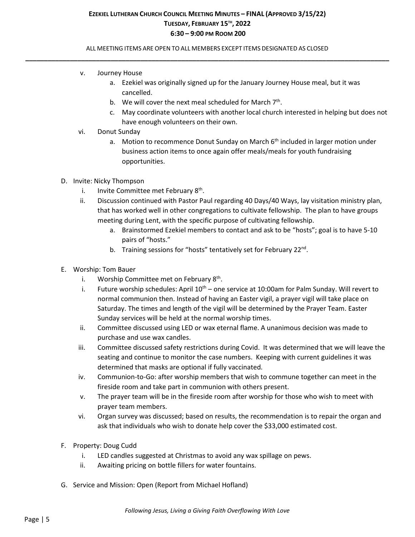## ALL MEETING ITEMS ARE OPEN TO ALL MEMBERS EXCEPT ITEMS DESIGNATED AS CLOSED **\_\_\_\_\_\_\_\_\_\_\_\_\_\_\_\_\_\_\_\_\_\_\_\_\_\_\_\_\_\_\_\_\_\_\_\_\_\_\_\_\_\_\_\_\_\_\_\_\_\_\_\_\_\_\_\_\_\_\_\_\_\_\_\_\_\_\_\_\_\_\_\_\_\_\_\_\_\_\_\_\_\_\_\_\_\_\_\_\_\_\_\_\_\_\_\_\_\_**

- v. Journey House
	- a. Ezekiel was originally signed up for the January Journey House meal, but it was cancelled.
	- b. We will cover the next meal scheduled for March  $7<sup>th</sup>$ .
	- c. May coordinate volunteers with another local church interested in helping but does not have enough volunteers on their own.
- vi. Donut Sunday
	- a. Motion to recommence Donut Sunday on March  $6<sup>th</sup>$  included in larger motion under business action items to once again offer meals/meals for youth fundraising opportunities.
- D. Invite: Nicky Thompson
	- i. Invite Committee met February  $8<sup>th</sup>$ .
	- ii. Discussion continued with Pastor Paul regarding 40 Days/40 Ways, lay visitation ministry plan, that has worked well in other congregations to cultivate fellowship. The plan to have groups meeting during Lent, with the specific purpose of cultivating fellowship.
		- a. Brainstormed Ezekiel members to contact and ask to be "hosts"; goal is to have 5-10 pairs of "hosts."
		- b. Training sessions for "hosts" tentatively set for February 22<sup>nd</sup>.
- E. Worship: Tom Bauer
	- i. Worship Committee met on February  $8<sup>th</sup>$ .
	- i. Future worship schedules: April  $10^{th}$  one service at 10:00am for Palm Sunday. Will revert to normal communion then. Instead of having an Easter vigil, a prayer vigil will take place on Saturday. The times and length of the vigil will be determined by the Prayer Team. Easter Sunday services will be held at the normal worship times.
	- ii. Committee discussed using LED or wax eternal flame. A unanimous decision was made to purchase and use wax candles.
	- iii. Committee discussed safety restrictions during Covid. It was determined that we will leave the seating and continue to monitor the case numbers. Keeping with current guidelines it was determined that masks are optional if fully vaccinated.
	- iv. Communion-to-Go: after worship members that wish to commune together can meet in the fireside room and take part in communion with others present.
	- v. The prayer team will be in the fireside room after worship for those who wish to meet with prayer team members.
	- vi. Organ survey was discussed; based on results, the recommendation is to repair the organ and ask that individuals who wish to donate help cover the \$33,000 estimated cost.
- F. Property: Doug Cudd
	- i. LED candles suggested at Christmas to avoid any wax spillage on pews.
	- ii. Awaiting pricing on bottle fillers for water fountains.
- G. Service and Mission: Open (Report from Michael Hofland)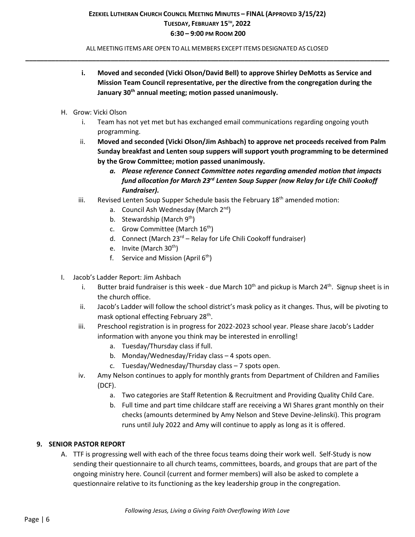ALL MEETING ITEMS ARE OPEN TO ALL MEMBERS EXCEPT ITEMS DESIGNATED AS CLOSED **\_\_\_\_\_\_\_\_\_\_\_\_\_\_\_\_\_\_\_\_\_\_\_\_\_\_\_\_\_\_\_\_\_\_\_\_\_\_\_\_\_\_\_\_\_\_\_\_\_\_\_\_\_\_\_\_\_\_\_\_\_\_\_\_\_\_\_\_\_\_\_\_\_\_\_\_\_\_\_\_\_\_\_\_\_\_\_\_\_\_\_\_\_\_\_\_\_\_**

- **i. Moved and seconded (Vicki Olson/David Bell) to approve Shirley DeMotts as Service and Mission Team Council representative, per the directive from the congregation during the January 30th annual meeting; motion passed unanimously.**
- H. Grow: Vicki Olson
	- i. Team has not yet met but has exchanged email communications regarding ongoing youth programming.
	- ii. **Moved and seconded (Vicki Olson/Jim Ashbach) to approve net proceeds received from Palm Sunday breakfast and Lenten soup suppers will support youth programming to be determined by the Grow Committee; motion passed unanimously.**
		- *a. Please reference Connect Committee notes regarding amended motion that impacts fund allocation for March 23rd Lenten Soup Supper (now Relay for Life Chili Cookoff Fundraiser).*
	- iii. Revised Lenten Soup Supper Schedule basis the February  $18<sup>th</sup>$  amended motion:
		- a. Council Ash Wednesday (March 2<sup>nd</sup>)
		- b. Stewardship (March  $9<sup>th</sup>$ )
		- c. Grow Committee (March  $16<sup>th</sup>$ )
		- d. Connect (March  $23^{rd}$  Relay for Life Chili Cookoff fundraiser)
		- e. Invite (March  $30<sup>th</sup>$ )
		- f. Service and Mission (April  $6<sup>th</sup>$ )
- I. Jacob's Ladder Report: Jim Ashbach
	- i. Butter braid fundraiser is this week due March  $10<sup>th</sup>$  and pickup is March  $24<sup>th</sup>$ . Signup sheet is in the church office.
	- ii. Jacob's Ladder will follow the school district's mask policy as it changes. Thus, will be pivoting to mask optional effecting February 28th.
	- iii. Preschool registration is in progress for 2022-2023 school year. Please share Jacob's Ladder information with anyone you think may be interested in enrolling!
		- a. Tuesday/Thursday class if full.
		- b. Monday/Wednesday/Friday class 4 spots open.
		- c. Tuesday/Wednesday/Thursday class 7 spots open.
	- iv. Amy Nelson continues to apply for monthly grants from Department of Children and Families (DCF).
		- a. Two categories are Staff Retention & Recruitment and Providing Quality Child Care.
		- b. Full time and part time childcare staff are receiving a WI Shares grant monthly on their checks (amounts determined by Amy Nelson and Steve Devine-Jelinski). This program runs until July 2022 and Amy will continue to apply as long as it is offered.

### **9. SENIOR PASTOR REPORT**

A. TTF is progressing well with each of the three focus teams doing their work well. Self-Study is now sending their questionnaire to all church teams, committees, boards, and groups that are part of the ongoing ministry here. Council (current and former members) will also be asked to complete a questionnaire relative to its functioning as the key leadership group in the congregation.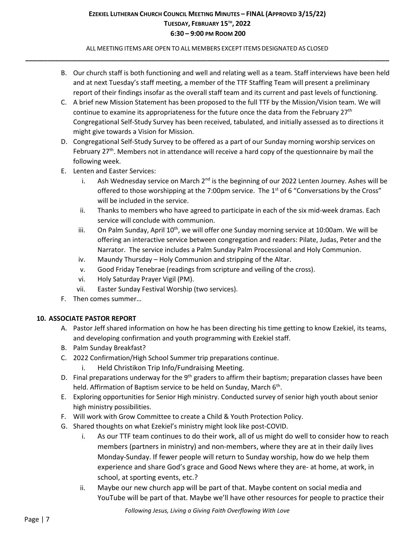ALL MEETING ITEMS ARE OPEN TO ALL MEMBERS EXCEPT ITEMS DESIGNATED AS CLOSED **\_\_\_\_\_\_\_\_\_\_\_\_\_\_\_\_\_\_\_\_\_\_\_\_\_\_\_\_\_\_\_\_\_\_\_\_\_\_\_\_\_\_\_\_\_\_\_\_\_\_\_\_\_\_\_\_\_\_\_\_\_\_\_\_\_\_\_\_\_\_\_\_\_\_\_\_\_\_\_\_\_\_\_\_\_\_\_\_\_\_\_\_\_\_\_\_\_\_**

- B. Our church staff is both functioning and well and relating well as a team. Staff interviews have been held and at next Tuesday's staff meeting, a member of the TTF Staffing Team will present a preliminary report of their findings insofar as the overall staff team and its current and past levels of functioning.
- C. A brief new Mission Statement has been proposed to the full TTF by the Mission/Vision team. We will continue to examine its appropriateness for the future once the data from the February  $27<sup>th</sup>$ Congregational Self-Study Survey has been received, tabulated, and initially assessed as to directions it might give towards a Vision for Mission.
- D. Congregational Self-Study Survey to be offered as a part of our Sunday morning worship services on February  $27<sup>th</sup>$ . Members not in attendance will receive a hard copy of the questionnaire by mail the following week.
- E. Lenten and Easter Services:
	- i. Ash Wednesday service on March 2<sup>nd</sup> is the beginning of our 2022 Lenten Journey. Ashes will be offered to those worshipping at the 7:00pm service. The  $1<sup>st</sup>$  of 6 "Conversations by the Cross" will be included in the service.
	- ii. Thanks to members who have agreed to participate in each of the six mid-week dramas. Each service will conclude with communion.
	- iii. On Palm Sunday, April  $10<sup>th</sup>$ , we will offer one Sunday morning service at 10:00am. We will be offering an interactive service between congregation and readers: Pilate, Judas, Peter and the Narrator. The service includes a Palm Sunday Palm Processional and Holy Communion.
	- iv. Maundy Thursday Holy Communion and stripping of the Altar.
	- v. Good Friday Tenebrae (readings from scripture and veiling of the cross).
	- vi. Holy Saturday Prayer Vigil (PM).
	- vii. Easter Sunday Festival Worship (two services).
- F. Then comes summer…

## **10. ASSOCIATE PASTOR REPORT**

- A. Pastor Jeff shared information on how he has been directing his time getting to know Ezekiel, its teams, and developing confirmation and youth programming with Ezekiel staff.
- B. Palm Sunday Breakfast?
- C. 2022 Confirmation/High School Summer trip preparations continue.
	- i. Held Christikon Trip Info/Fundraising Meeting.
- D. Final preparations underway for the  $9<sup>th</sup>$  graders to affirm their baptism; preparation classes have been held. Affirmation of Baptism service to be held on Sunday, March 6<sup>th</sup>.
- E. Exploring opportunities for Senior High ministry. Conducted survey of senior high youth about senior high ministry possibilities.
- F. Will work with Grow Committee to create a Child & Youth Protection Policy.
- G. Shared thoughts on what Ezekiel's ministry might look like post-COVID.
	- i. As our TTF team continues to do their work, all of us might do well to consider how to reach members (partners in ministry) and non-members, where they are at in their daily lives Monday-Sunday. If fewer people will return to Sunday worship, how do we help them experience and share God's grace and Good News where they are- at home, at work, in school, at sporting events, etc.?
	- ii. Maybe our new church app will be part of that. Maybe content on social media and YouTube will be part of that. Maybe we'll have other resources for people to practice their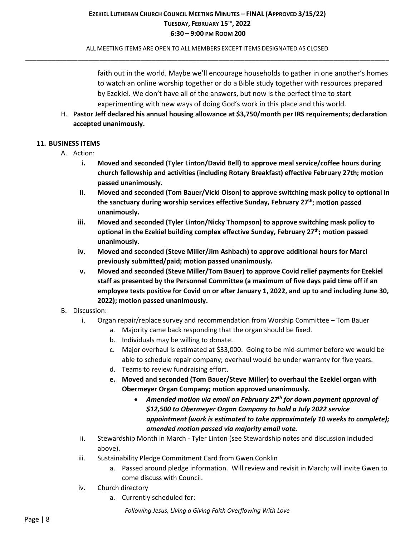ALL MEETING ITEMS ARE OPEN TO ALL MEMBERS EXCEPT ITEMS DESIGNATED AS CLOSED **\_\_\_\_\_\_\_\_\_\_\_\_\_\_\_\_\_\_\_\_\_\_\_\_\_\_\_\_\_\_\_\_\_\_\_\_\_\_\_\_\_\_\_\_\_\_\_\_\_\_\_\_\_\_\_\_\_\_\_\_\_\_\_\_\_\_\_\_\_\_\_\_\_\_\_\_\_\_\_\_\_\_\_\_\_\_\_\_\_\_\_\_\_\_\_\_\_\_**

> faith out in the world. Maybe we'll encourage households to gather in one another's homes to watch an online worship together or do a Bible study together with resources prepared by Ezekiel. We don't have all of the answers, but now is the perfect time to start experimenting with new ways of doing God's work in this place and this world.

H. **Pastor Jeff declared his annual housing allowance at \$3,750/month per IRS requirements; declaration accepted unanimously.**

### **11. BUSINESS ITEMS**

- A. Action:
	- **i. Moved and seconded (Tyler Linton/David Bell) to approve meal service/coffee hours during church fellowship and activities (including Rotary Breakfast) effective February 27th; motion passed unanimously.**
	- **ii. Moved and seconded (Tom Bauer/Vicki Olson) to approve switching mask policy to optional in the sanctuary during worship services effective Sunday, February 27th; motion passed unanimously.**
	- **iii. Moved and seconded (Tyler Linton/Nicky Thompson) to approve switching mask policy to optional in the Ezekiel building complex effective Sunday, February 27th; motion passed unanimously.**
	- **iv. Moved and seconded (Steve Miller/Jim Ashbach) to approve additional hours for Marci previously submitted/paid; motion passed unanimously.**
	- **v. Moved and seconded (Steve Miller/Tom Bauer) to approve Covid relief payments for Ezekiel staff as presented by the Personnel Committee (a maximum of five days paid time off if an employee tests positive for Covid on or after January 1, 2022, and up to and including June 30, 2022); motion passed unanimously.**

## B. Discussion:

- i. Organ repair/replace survey and recommendation from Worship Committee Tom Bauer
	- a. Majority came back responding that the organ should be fixed.
	- b. Individuals may be willing to donate.
	- c. Major overhaul is estimated at \$33,000. Going to be mid-summer before we would be able to schedule repair company; overhaul would be under warranty for five years.
	- d. Teams to review fundraising effort.
	- **e. Moved and seconded (Tom Bauer/Steve Miller) to overhaul the Ezekiel organ with Obermeyer Organ Company; motion approved unanimously.**
		- *Amended motion via email on February 27th for down payment approval of \$12,500 to Obermeyer Organ Company to hold a July 2022 service appointment (work is estimated to take approximately 10 weeks to complete); amended motion passed via majority email vote.*
- ii. Stewardship Month in March Tyler Linton (see Stewardship notes and discussion included above).
- iii. Sustainability Pledge Commitment Card from Gwen Conklin
	- a. Passed around pledge information. Will review and revisit in March; will invite Gwen to come discuss with Council.
- iv. Church directory
	- a. Currently scheduled for: